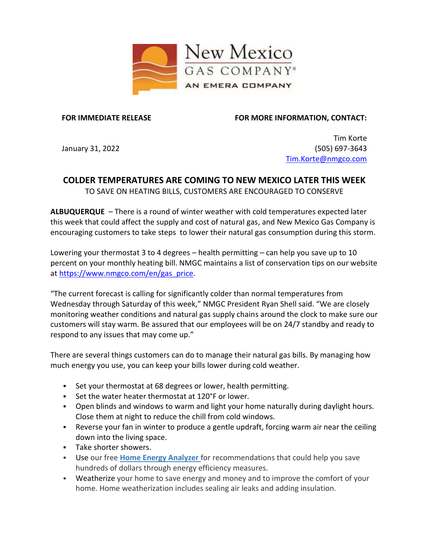

## **FOR IMMEDIATE RELEASE**

**FOR MORE INFORMATION, CONTACT:**

January 31, 2022

Tim Korte (505) 697-3643 [Tim.Korte@nmgco.com](mailto:Tim.Korte@nmgco.com)

## **COLDER TEMPERATURES ARE COMING TO NEW MEXICO LATER THIS WEEK** TO SAVE ON HEATING BILLS, CUSTOMERS ARE ENCOURAGED TO CONSERVE

**ALBUQUERQUE** – There is a round of winter weather with cold temperatures expected later this week that could affect the supply and cost of natural gas, and New Mexico Gas Company is encouraging customers to take steps to lower their natural gas consumption during this storm.

Lowering your thermostat 3 to 4 degrees – health permitting – can help you save up to 10 percent on your monthly heating bill. NMGC maintains a list of conservation tips on our website at [https://www.nmgco.com/en/gas\\_price.](https://www.nmgco.com/en/gas_price)

"The current forecast is calling for significantly colder than normal temperatures from Wednesday through Saturday of this week," NMGC President Ryan Shell said. "We are closely monitoring weather conditions and natural gas supply chains around the clock to make sure our customers will stay warm. Be assured that our employees will be on 24/7 standby and ready to respond to any issues that may come up."

There are several things customers can do to manage their natural gas bills. By managing how much energy you use, you can keep your bills lower during cold weather.

- Set your thermostat at 68 degrees or lower, health permitting.
- Set the water heater thermostat at 120°F or lower.
- Open blinds and windows to warm and light your home naturally during daylight hours. Close them at night to reduce the chill from cold windows.
- Reverse your fan in winter to produce a gentle updraft, forcing warm air near the ceiling down into the living space.
- Take shorter showers.
- **EXED Use our free [Home Energy Analyzer](https://nmgc.energysavvy.com/residential/start/)** for recommendations that could help you save hundreds of dollars through energy efficiency measures.
- **Weatherize** your home to save energy and money and to improve the comfort of your home. Home weatherization includes sealing air leaks and adding insulation.